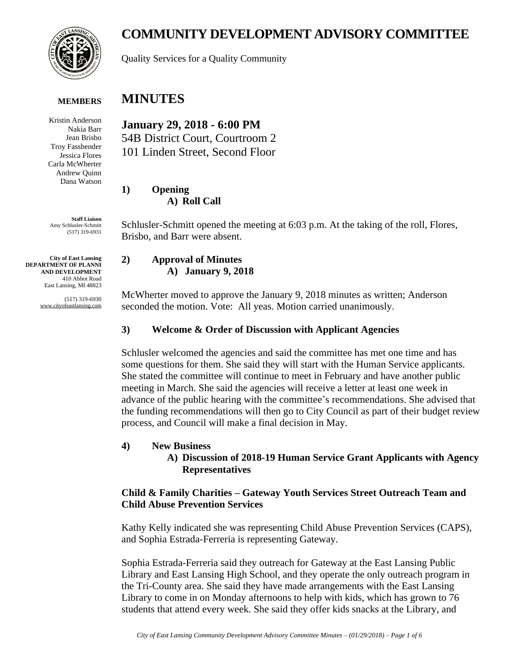

#### **MEMBERS**

Kristin Anderson Nakia Barr Jean Brisbo Troy Fassbender Jessica Flores Carla McWherter Andrew Quinn Dana Watson

**Staff Liaison** Amy Schlusler-Schmitt (517) 319-6931

**City of East Lansing DEPARTMENT OF PLANNI AND DEVELOPMENT** 410 Abbot Road East Lansing, MI 48823

> (517) 319-6930 www.cityofeastlansing.com

# **COMMUNITY DEVELOPMENT ADVISORY COMMITTEE**

Quality Services for a Quality Community

# **MINUTES**

**January 29, 2018 - 6:00 PM** 54B District Court, Courtroom 2 101 Linden Street, Second Floor

**1) Opening A) Roll Call**

Schlusler-Schmitt opened the meeting at 6:03 p.m. At the taking of the roll, Flores, Brisbo, and Barr were absent.

#### **2) Approval of Minutes A) January 9, 2018**

McWherter moved to approve the January 9, 2018 minutes as written; Anderson seconded the motion. Vote: All yeas. Motion carried unanimously.

### **3) Welcome & Order of Discussion with Applicant Agencies**

Schlusler welcomed the agencies and said the committee has met one time and has some questions for them. She said they will start with the Human Service applicants. She stated the committee will continue to meet in February and have another public meeting in March. She said the agencies will receive a letter at least one week in advance of the public hearing with the committee's recommendations. She advised that the funding recommendations will then go to City Council as part of their budget review process, and Council will make a final decision in May.

# **4) New Business**

#### **A) Discussion of 2018-19 Human Service Grant Applicants with Agency Representatives**

#### **Child & Family Charities – Gateway Youth Services Street Outreach Team and Child Abuse Prevention Services**

Kathy Kelly indicated she was representing Child Abuse Prevention Services (CAPS), and Sophia Estrada-Ferreria is representing Gateway.

Sophia Estrada-Ferreria said they outreach for Gateway at the East Lansing Public Library and East Lansing High School, and they operate the only outreach program in the Tri-County area. She said they have made arrangements with the East Lansing Library to come in on Monday afternoons to help with kids, which has grown to 76 students that attend every week. She said they offer kids snacks at the Library, and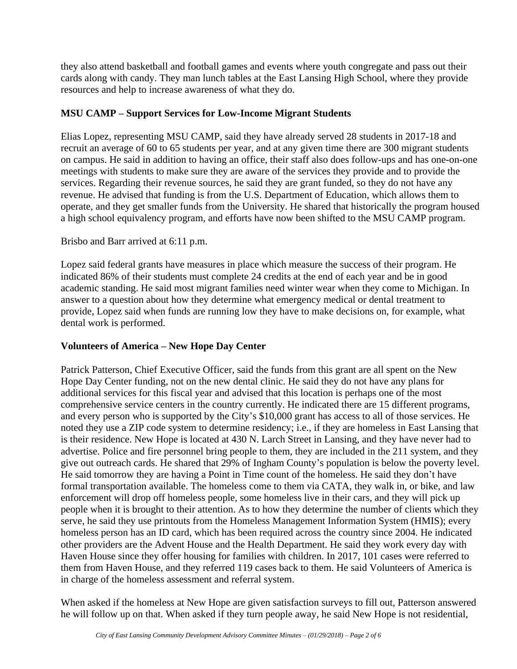they also attend basketball and football games and events where youth congregate and pass out their cards along with candy. They man lunch tables at the East Lansing High School, where they provide resources and help to increase awareness of what they do.

# **MSU CAMP – Support Services for Low-Income Migrant Students**

Elias Lopez, representing MSU CAMP, said they have already served 28 students in 2017-18 and recruit an average of 60 to 65 students per year, and at any given time there are 300 migrant students on campus. He said in addition to having an office, their staff also does follow-ups and has one-on-one meetings with students to make sure they are aware of the services they provide and to provide the services. Regarding their revenue sources, he said they are grant funded, so they do not have any revenue. He advised that funding is from the U.S. Department of Education, which allows them to operate, and they get smaller funds from the University. He shared that historically the program housed a high school equivalency program, and efforts have now been shifted to the MSU CAMP program.

# Brisbo and Barr arrived at 6:11 p.m.

Lopez said federal grants have measures in place which measure the success of their program. He indicated 86% of their students must complete 24 credits at the end of each year and be in good academic standing. He said most migrant families need winter wear when they come to Michigan. In answer to a question about how they determine what emergency medical or dental treatment to provide, Lopez said when funds are running low they have to make decisions on, for example, what dental work is performed.

# **Volunteers of America – New Hope Day Center**

Patrick Patterson, Chief Executive Officer, said the funds from this grant are all spent on the New Hope Day Center funding, not on the new dental clinic. He said they do not have any plans for additional services for this fiscal year and advised that this location is perhaps one of the most comprehensive service centers in the country currently. He indicated there are 15 different programs, and every person who is supported by the City's \$10,000 grant has access to all of those services. He noted they use a ZIP code system to determine residency; i.e., if they are homeless in East Lansing that is their residence. New Hope is located at 430 N. Larch Street in Lansing, and they have never had to advertise. Police and fire personnel bring people to them, they are included in the 211 system, and they give out outreach cards. He shared that 29% of Ingham County's population is below the poverty level. He said tomorrow they are having a Point in Time count of the homeless. He said they don't have formal transportation available. The homeless come to them via CATA, they walk in, or bike, and law enforcement will drop off homeless people, some homeless live in their cars, and they will pick up people when it is brought to their attention. As to how they determine the number of clients which they serve, he said they use printouts from the Homeless Management Information System (HMIS); every homeless person has an ID card, which has been required across the country since 2004. He indicated other providers are the Advent House and the Health Department. He said they work every day with Haven House since they offer housing for families with children. In 2017, 101 cases were referred to them from Haven House, and they referred 119 cases back to them. He said Volunteers of America is in charge of the homeless assessment and referral system.

When asked if the homeless at New Hope are given satisfaction surveys to fill out, Patterson answered he will follow up on that. When asked if they turn people away, he said New Hope is not residential,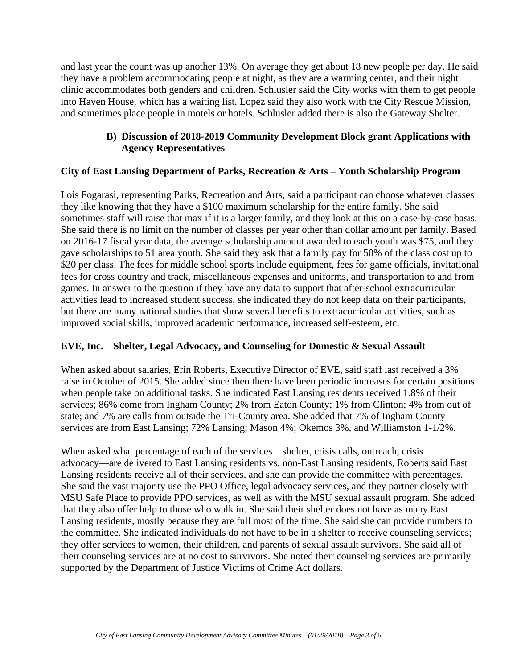and last year the count was up another 13%. On average they get about 18 new people per day. He said they have a problem accommodating people at night, as they are a warming center, and their night clinic accommodates both genders and children. Schlusler said the City works with them to get people into Haven House, which has a waiting list. Lopez said they also work with the City Rescue Mission, and sometimes place people in motels or hotels. Schlusler added there is also the Gateway Shelter.

# **B) Discussion of 2018-2019 Community Development Block grant Applications with Agency Representatives**

# **City of East Lansing Department of Parks, Recreation & Arts – Youth Scholarship Program**

Lois Fogarasi, representing Parks, Recreation and Arts, said a participant can choose whatever classes they like knowing that they have a \$100 maximum scholarship for the entire family. She said sometimes staff will raise that max if it is a larger family, and they look at this on a case-by-case basis. She said there is no limit on the number of classes per year other than dollar amount per family. Based on 2016-17 fiscal year data, the average scholarship amount awarded to each youth was \$75, and they gave scholarships to 51 area youth. She said they ask that a family pay for 50% of the class cost up to \$20 per class. The fees for middle school sports include equipment, fees for game officials, invitational fees for cross country and track, miscellaneous expenses and uniforms, and transportation to and from games. In answer to the question if they have any data to support that after-school extracurricular activities lead to increased student success, she indicated they do not keep data on their participants, but there are many national studies that show several benefits to extracurricular activities, such as improved social skills, improved academic performance, increased self-esteem, etc.

# **EVE, Inc. – Shelter, Legal Advocacy, and Counseling for Domestic & Sexual Assault**

When asked about salaries, Erin Roberts, Executive Director of EVE, said staff last received a 3% raise in October of 2015. She added since then there have been periodic increases for certain positions when people take on additional tasks. She indicated East Lansing residents received 1.8% of their services; 86% come from Ingham County; 2% from Eaton County; 1% from Clinton; 4% from out of state; and 7% are calls from outside the Tri-County area. She added that 7% of Ingham County services are from East Lansing; 72% Lansing; Mason 4%; Okemos 3%, and Williamston 1-1/2%.

When asked what percentage of each of the services—shelter, crisis calls, outreach, crisis advocacy—are delivered to East Lansing residents vs. non-East Lansing residents, Roberts said East Lansing residents receive all of their services, and she can provide the committee with percentages. She said the vast majority use the PPO Office, legal advocacy services, and they partner closely with MSU Safe Place to provide PPO services, as well as with the MSU sexual assault program. She added that they also offer help to those who walk in. She said their shelter does not have as many East Lansing residents, mostly because they are full most of the time. She said she can provide numbers to the committee. She indicated individuals do not have to be in a shelter to receive counseling services; they offer services to women, their children, and parents of sexual assault survivors. She said all of their counseling services are at no cost to survivors. She noted their counseling services are primarily supported by the Department of Justice Victims of Crime Act dollars.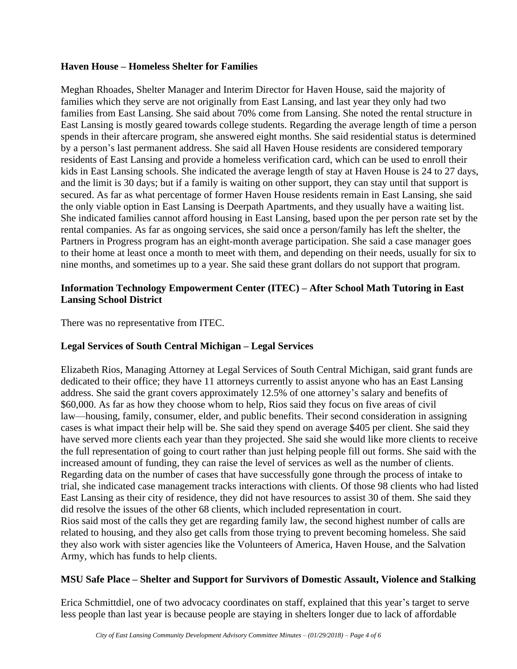# **Haven House – Homeless Shelter for Families**

Meghan Rhoades, Shelter Manager and Interim Director for Haven House, said the majority of families which they serve are not originally from East Lansing, and last year they only had two families from East Lansing. She said about 70% come from Lansing. She noted the rental structure in East Lansing is mostly geared towards college students. Regarding the average length of time a person spends in their aftercare program, she answered eight months. She said residential status is determined by a person's last permanent address. She said all Haven House residents are considered temporary residents of East Lansing and provide a homeless verification card, which can be used to enroll their kids in East Lansing schools. She indicated the average length of stay at Haven House is 24 to 27 days, and the limit is 30 days; but if a family is waiting on other support, they can stay until that support is secured. As far as what percentage of former Haven House residents remain in East Lansing, she said the only viable option in East Lansing is Deerpath Apartments, and they usually have a waiting list. She indicated families cannot afford housing in East Lansing, based upon the per person rate set by the rental companies. As far as ongoing services, she said once a person/family has left the shelter, the Partners in Progress program has an eight-month average participation. She said a case manager goes to their home at least once a month to meet with them, and depending on their needs, usually for six to nine months, and sometimes up to a year. She said these grant dollars do not support that program.

# **Information Technology Empowerment Center (ITEC) – After School Math Tutoring in East Lansing School District**

There was no representative from ITEC.

# **Legal Services of South Central Michigan – Legal Services**

Elizabeth Rios, Managing Attorney at Legal Services of South Central Michigan, said grant funds are dedicated to their office; they have 11 attorneys currently to assist anyone who has an East Lansing address. She said the grant covers approximately 12.5% of one attorney's salary and benefits of \$60,000. As far as how they choose whom to help, Rios said they focus on five areas of civil law—housing, family, consumer, elder, and public benefits. Their second consideration in assigning cases is what impact their help will be. She said they spend on average \$405 per client. She said they have served more clients each year than they projected. She said she would like more clients to receive the full representation of going to court rather than just helping people fill out forms. She said with the increased amount of funding, they can raise the level of services as well as the number of clients. Regarding data on the number of cases that have successfully gone through the process of intake to trial, she indicated case management tracks interactions with clients. Of those 98 clients who had listed East Lansing as their city of residence, they did not have resources to assist 30 of them. She said they did resolve the issues of the other 68 clients, which included representation in court. Rios said most of the calls they get are regarding family law, the second highest number of calls are related to housing, and they also get calls from those trying to prevent becoming homeless. She said they also work with sister agencies like the Volunteers of America, Haven House, and the Salvation Army, which has funds to help clients.

# **MSU Safe Place – Shelter and Support for Survivors of Domestic Assault, Violence and Stalking**

Erica Schmittdiel, one of two advocacy coordinates on staff, explained that this year's target to serve less people than last year is because people are staying in shelters longer due to lack of affordable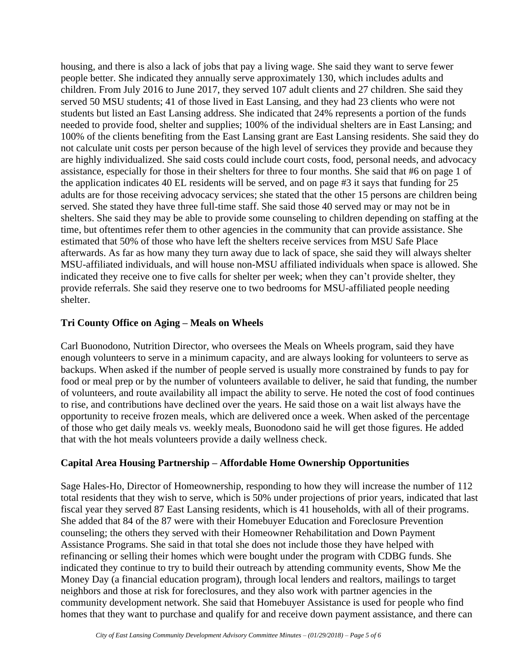housing, and there is also a lack of jobs that pay a living wage. She said they want to serve fewer people better. She indicated they annually serve approximately 130, which includes adults and children. From July 2016 to June 2017, they served 107 adult clients and 27 children. She said they served 50 MSU students; 41 of those lived in East Lansing, and they had 23 clients who were not students but listed an East Lansing address. She indicated that 24% represents a portion of the funds needed to provide food, shelter and supplies; 100% of the individual shelters are in East Lansing; and 100% of the clients benefiting from the East Lansing grant are East Lansing residents. She said they do not calculate unit costs per person because of the high level of services they provide and because they are highly individualized. She said costs could include court costs, food, personal needs, and advocacy assistance, especially for those in their shelters for three to four months. She said that #6 on page 1 of the application indicates 40 EL residents will be served, and on page #3 it says that funding for 25 adults are for those receiving advocacy services; she stated that the other 15 persons are children being served. She stated they have three full-time staff. She said those 40 served may or may not be in shelters. She said they may be able to provide some counseling to children depending on staffing at the time, but oftentimes refer them to other agencies in the community that can provide assistance. She estimated that 50% of those who have left the shelters receive services from MSU Safe Place afterwards. As far as how many they turn away due to lack of space, she said they will always shelter MSU-affiliated individuals, and will house non-MSU affiliated individuals when space is allowed. She indicated they receive one to five calls for shelter per week; when they can't provide shelter, they provide referrals. She said they reserve one to two bedrooms for MSU-affiliated people needing shelter.

# **Tri County Office on Aging – Meals on Wheels**

Carl Buonodono, Nutrition Director, who oversees the Meals on Wheels program, said they have enough volunteers to serve in a minimum capacity, and are always looking for volunteers to serve as backups. When asked if the number of people served is usually more constrained by funds to pay for food or meal prep or by the number of volunteers available to deliver, he said that funding, the number of volunteers, and route availability all impact the ability to serve. He noted the cost of food continues to rise, and contributions have declined over the years. He said those on a wait list always have the opportunity to receive frozen meals, which are delivered once a week. When asked of the percentage of those who get daily meals vs. weekly meals, Buonodono said he will get those figures. He added that with the hot meals volunteers provide a daily wellness check.

# **Capital Area Housing Partnership – Affordable Home Ownership Opportunities**

Sage Hales-Ho, Director of Homeownership, responding to how they will increase the number of 112 total residents that they wish to serve, which is 50% under projections of prior years, indicated that last fiscal year they served 87 East Lansing residents, which is 41 households, with all of their programs. She added that 84 of the 87 were with their Homebuyer Education and Foreclosure Prevention counseling; the others they served with their Homeowner Rehabilitation and Down Payment Assistance Programs. She said in that total she does not include those they have helped with refinancing or selling their homes which were bought under the program with CDBG funds. She indicated they continue to try to build their outreach by attending community events, Show Me the Money Day (a financial education program), through local lenders and realtors, mailings to target neighbors and those at risk for foreclosures, and they also work with partner agencies in the community development network. She said that Homebuyer Assistance is used for people who find homes that they want to purchase and qualify for and receive down payment assistance, and there can